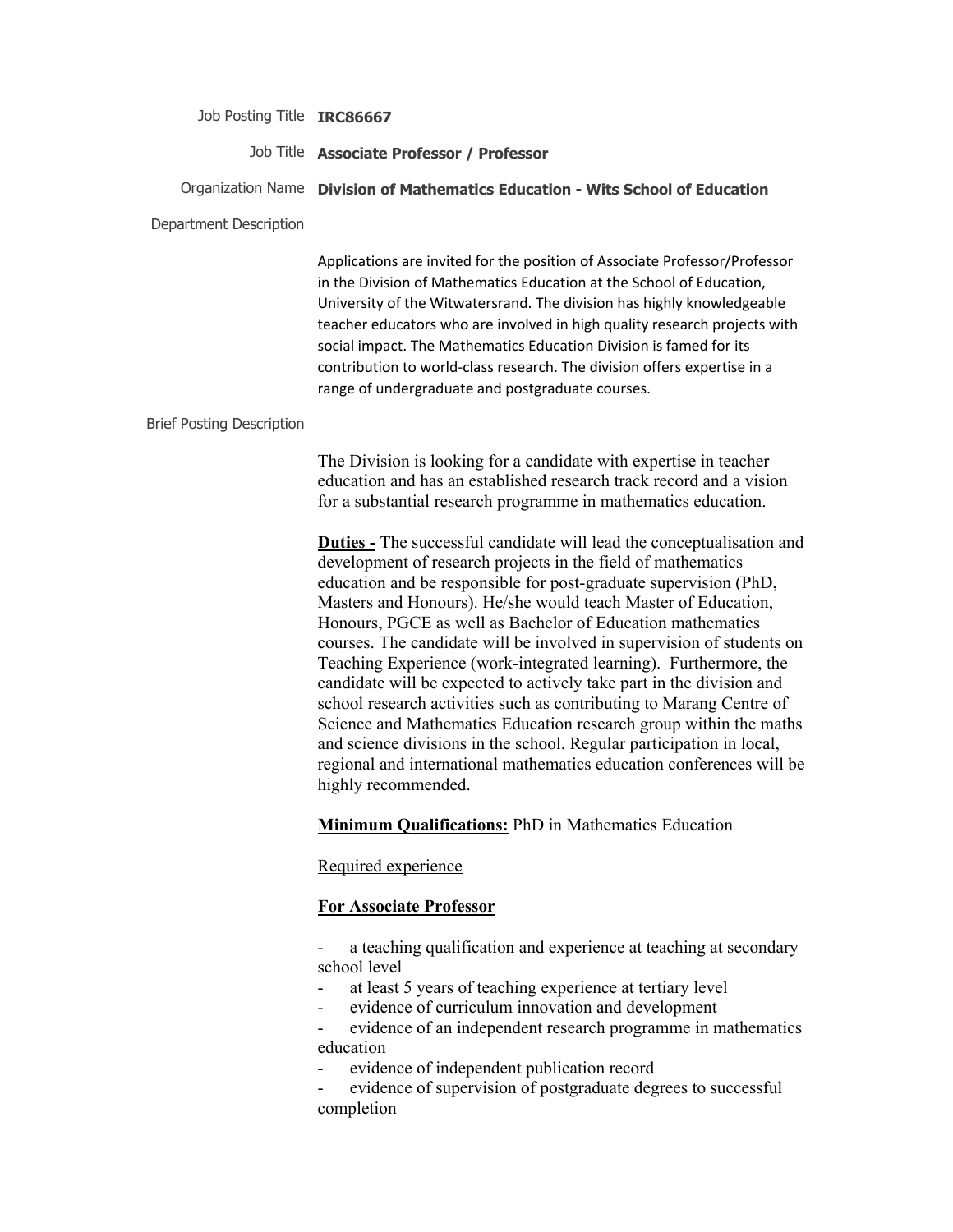Job Posting Title **IRC86667**

### Job Title **Associate Professor / Professor**

Organization Name **Division of Mathematics Education - Wits School of Education**

#### Department Description

Applications are invited for the position of Associate Professor/Professor in the Division of Mathematics Education at the School of Education, University of the Witwatersrand. The division has highly knowledgeable teacher educators who are involved in high quality research projects with social impact. The Mathematics Education Division is famed for its contribution to world-class research. The division offers expertise in a range of undergraduate and postgraduate courses.

#### Brief Posting Description

The Division is looking for a candidate with expertise in teacher education and has an established research track record and a vision for a substantial research programme in mathematics education.

**Duties -** The successful candidate will lead the conceptualisation and development of research projects in the field of mathematics education and be responsible for post-graduate supervision (PhD, Masters and Honours). He/she would teach Master of Education, Honours, PGCE as well as Bachelor of Education mathematics courses. The candidate will be involved in supervision of students on Teaching Experience (work-integrated learning). Furthermore, the candidate will be expected to actively take part in the division and school research activities such as contributing to Marang Centre of Science and Mathematics Education research group within the maths and science divisions in the school. Regular participation in local, regional and international mathematics education conferences will be highly recommended.

#### **Minimum Qualifications:** PhD in Mathematics Education

#### Required experience

#### **For Associate Professor**

a teaching qualification and experience at teaching at secondary school level

- at least 5 years of teaching experience at tertiary level
- evidence of curriculum innovation and development
- evidence of an independent research programme in mathematics education
- evidence of independent publication record

evidence of supervision of postgraduate degrees to successful completion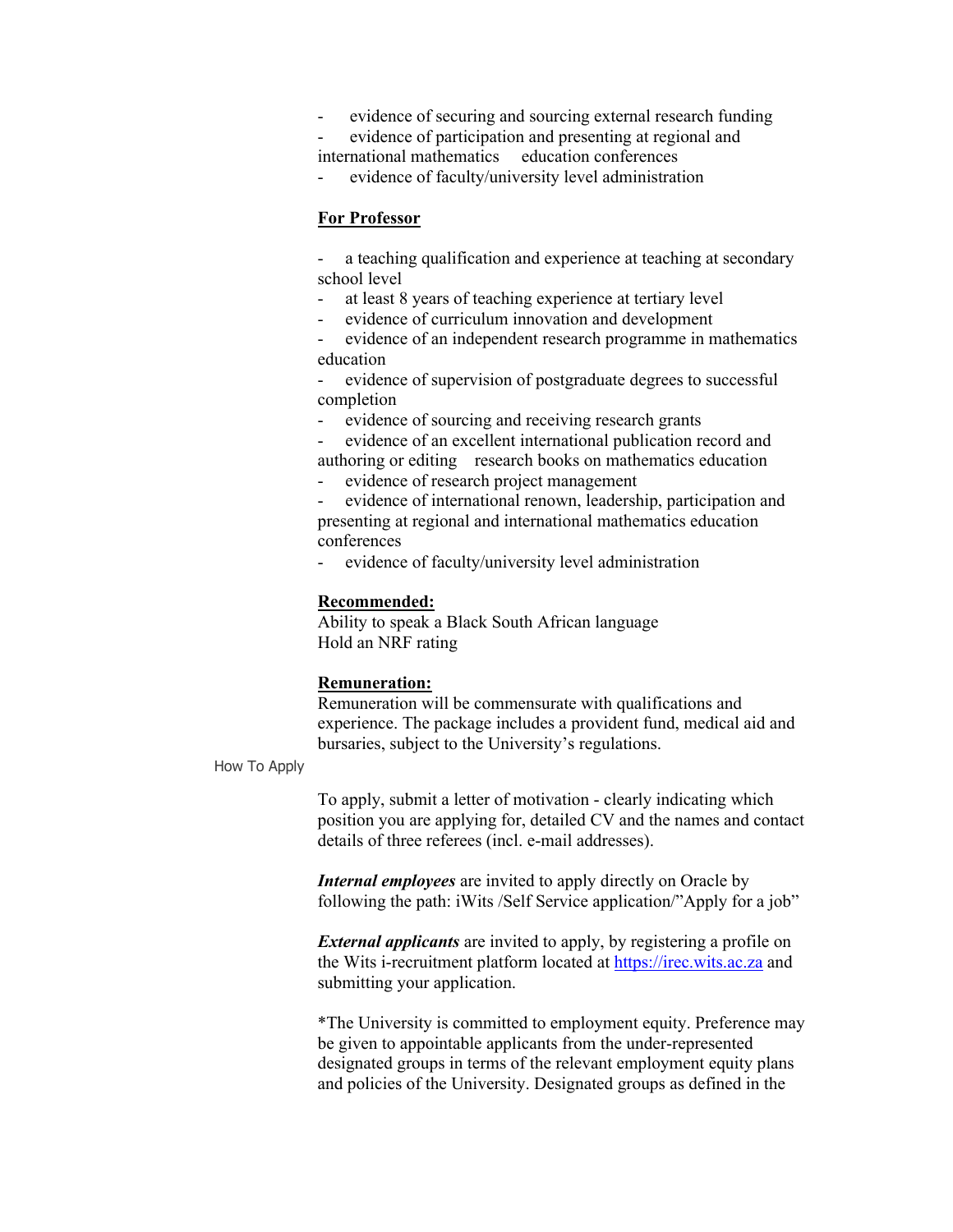- evidence of securing and sourcing external research funding
- evidence of participation and presenting at regional and international mathematics education conferences
- evidence of faculty/university level administration

## **For Professor**

a teaching qualification and experience at teaching at secondary school level

- at least 8 years of teaching experience at tertiary level
- evidence of curriculum innovation and development

- evidence of an independent research programme in mathematics education

evidence of supervision of postgraduate degrees to successful completion

evidence of sourcing and receiving research grants

- evidence of an excellent international publication record and authoring or editing research books on mathematics education

- evidence of research project management

- evidence of international renown, leadership, participation and presenting at regional and international mathematics education conferences

- evidence of faculty/university level administration

### **Recommended:**

Ability to speak a Black South African language Hold an NRF rating

## **Remuneration:**

Remuneration will be commensurate with qualifications and experience. The package includes a provident fund, medical aid and bursaries, subject to the University's regulations.

#### How To Apply

To apply, submit a letter of motivation - clearly indicating which position you are applying for, detailed CV and the names and contact details of three referees (incl. e-mail addresses).

*Internal employees* are invited to apply directly on Oracle by following the path: iWits /Self Service application/"Apply for a job"

*External applicants* are invited to apply, by registering a profile on the Wits i-recruitment platform located at https://irec.wits.ac.za and submitting your application.

\*The University is committed to employment equity. Preference may be given to appointable applicants from the under-represented designated groups in terms of the relevant employment equity plans and policies of the University. Designated groups as defined in the